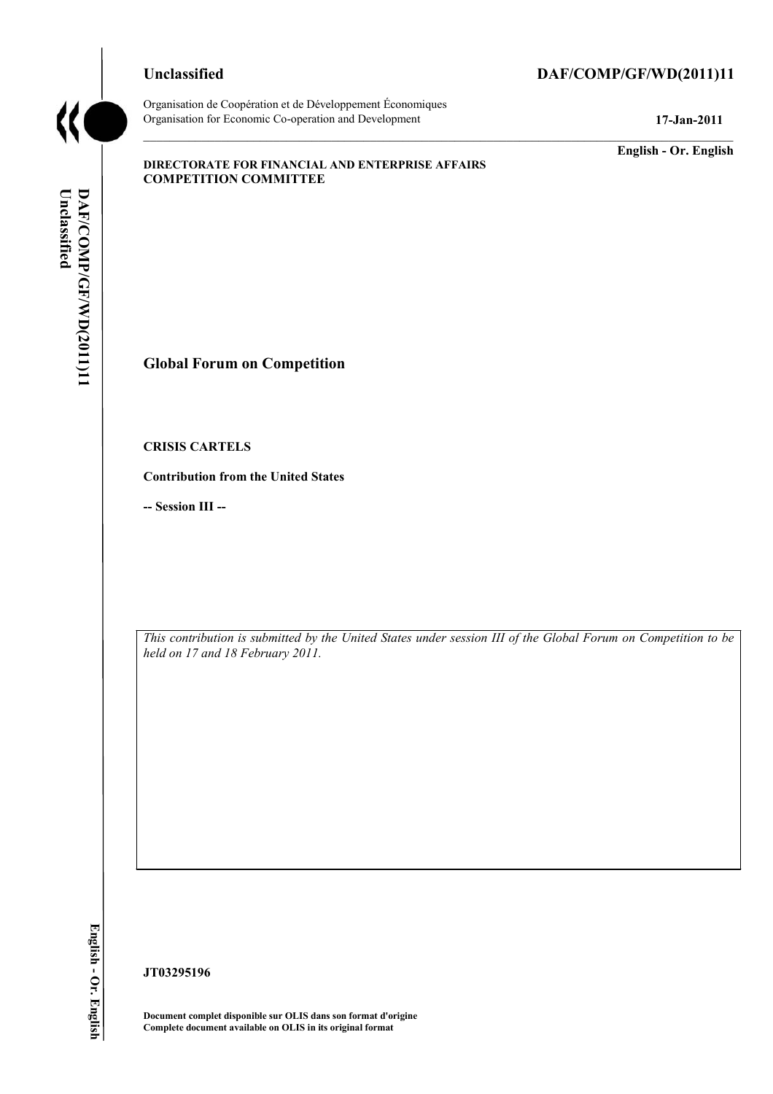Organisation de Coopération et de Développement Économiques Organisation for Economic Co-operation and Development **17-Jan-2011** 

# **Unclassified DAF/COMP/GF/WD(2011)11**

**English - Or. English** 

#### **DIRECTORATE FOR FINANCIAL AND ENTERPRISE AFFAIRS COMPETITION COMMITTEE**

Unclassified DAF/COMP/GF/WD(2011)11 **Unclassified DAF/COMP/GF/WD(2011)11 English - Or. English** 

**Global Forum on Competition** 

**CRISIS CARTELS** 

**Contribution from the United States** 

**-- Session III --**

*This contribution is submitted by the United States under session III of the Global Forum on Competition to be held on 17 and 18 February 2011.* 

**JT03295196** 

 **Document complet disponible sur OLIS dans son format d'origine Complete document available on OLIS in its original format**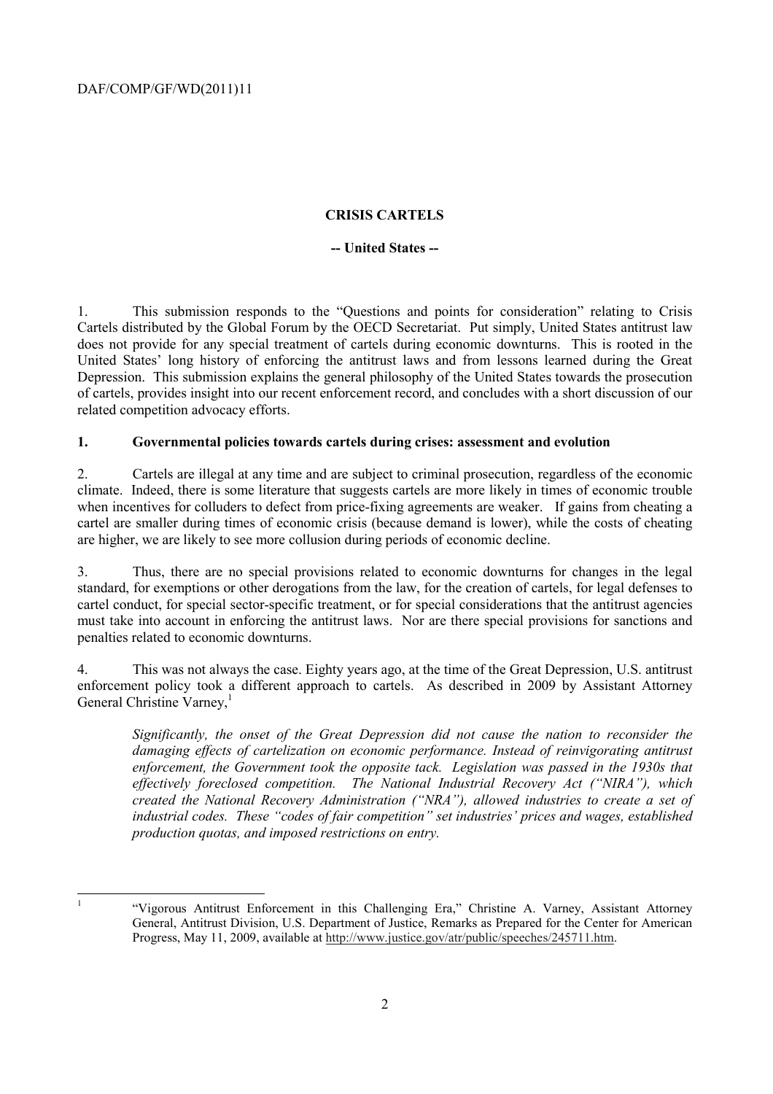## **CRISIS CARTELS**

## **-- United States --**

1. This submission responds to the "Questions and points for consideration" relating to Crisis Cartels distributed by the Global Forum by the OECD Secretariat. Put simply, United States antitrust law does not provide for any special treatment of cartels during economic downturns. This is rooted in the United States' long history of enforcing the antitrust laws and from lessons learned during the Great Depression. This submission explains the general philosophy of the United States towards the prosecution of cartels, provides insight into our recent enforcement record, and concludes with a short discussion of our related competition advocacy efforts.

## **1. Governmental policies towards cartels during crises: assessment and evolution**

 when incentives for colluders to defect from price-fixing agreements are weaker. If gains from cheating a are higher, we are likely to see more collusion during periods of economic decline. 2. Cartels are illegal at any time and are subject to criminal prosecution, regardless of the economic climate. Indeed, there is some literature that suggests cartels are more likely in times of economic trouble cartel are smaller during times of economic crisis (because demand is lower), while the costs of cheating

 must take into account in enforcing the antitrust laws. Nor are there special provisions for sanctions and 3. Thus, there are no special provisions related to economic downturns for changes in the legal standard, for exemptions or other derogations from the law, for the creation of cartels, for legal defenses to cartel conduct, for special sector-specific treatment, or for special considerations that the antitrust agencies penalties related to economic downturns.

4. This was not always the case. Eighty years ago, at the time of the Great Depression, U.S. antitrust enforcement policy took a different approach to cartels. As described in 2009 by Assistant Attorney General Christine Varney,<sup>1</sup>

*Significantly, the onset of the Great Depression did not cause the nation to reconsider the damaging effects of cartelization on economic performance. Instead of reinvigorating antitrust enforcement, the Government took the opposite tack. Legislation was passed in the 1930s that effectively foreclosed competition. The National Industrial Recovery Act ("NIRA"), which created the National Recovery Administration ("NRA"), allowed industries to create a set of industrial codes. These "codes of fair competition" set industries' prices and wages, established production quotas, and imposed restrictions on entry.* 

 $\frac{1}{1}$ 

<sup>&</sup>quot;Vigorous Antitrust Enforcement in this Challenging Era," Christine A. Varney, Assistant Attorney General, Antitrust Division, U.S. Department of Justice, Remarks as Prepared for the Center for American Progress, May 11, 2009, available at http://www.justice.gov/atr/public/speeches/245711.htm.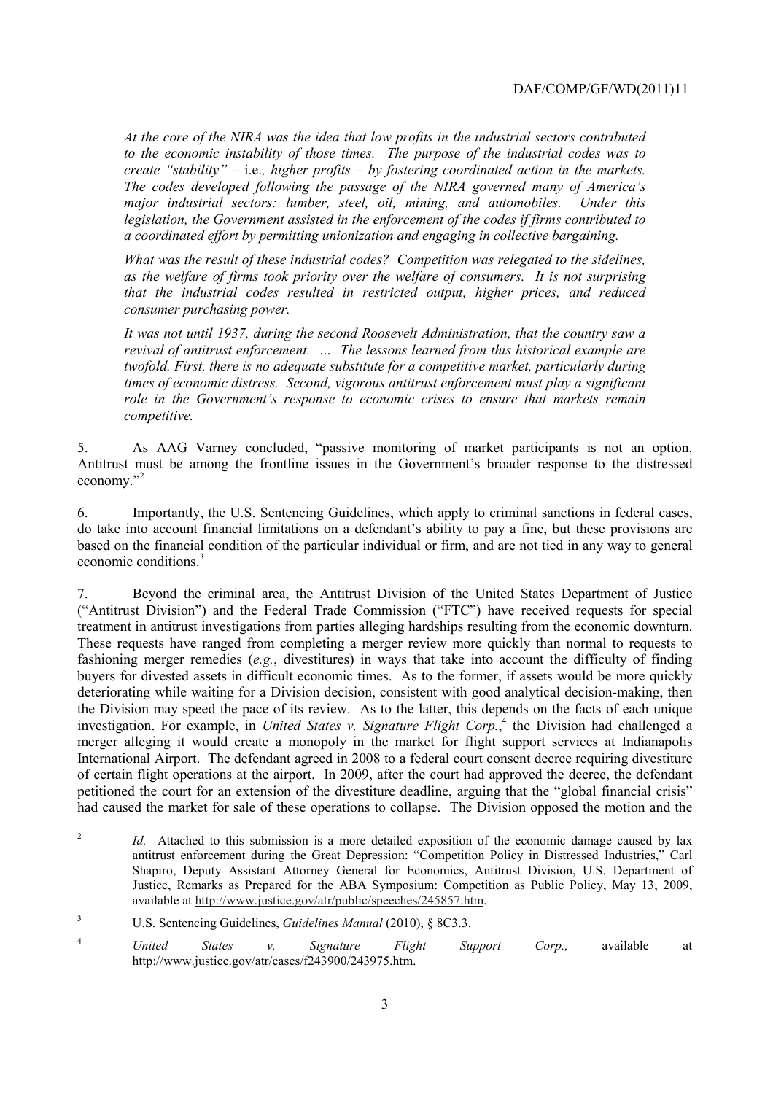*create "stability"*  $-$  *i.e., higher profits*  $-$  *by fostering coordinated action in the markets. create "stability" –* i.e.*, higher profits – by fostering coordinated action in the markets. The codes developed following the passage of the NIRA governed many of America's At the core of the NIRA was the idea that low profits in the industrial sectors contributed to the economic instability of those times. The purpose of the industrial codes was to major industrial sectors: lumber, steel, oil, mining, and automobiles. Under this legislation, the Government assisted in the enforcement of the codes if firms contributed to a coordinated effort by permitting unionization and engaging in collective bargaining.* 

*What was the result of these industrial codes? Competition was relegated to the sidelines, as the welfare of firms took priority over the welfare of consumers. It is not surprising that the industrial codes resulted in restricted output, higher prices, and reduced consumer purchasing power.* 

*It was not until 1937, during the second Roosevelt Administration, that the country saw a revival of antitrust enforcement. … The lessons learned from this historical example are twofold. First, there is no adequate substitute for a competitive market, particularly during times of economic distress. Second, vigorous antitrust enforcement must play a significant role in the Government's response to economic crises to ensure that markets remain competitive.* 

As AAG Varney concluded, "passive monitoring of market participants is not an option. 5. As AAG Varney concluded, "passive monitoring of market participants is not an option. Antitrust must be among the frontline issues in the Government's broader response to the distressed economy."<sup>2</sup>

6. Importantly, the U.S. Sentencing Guidelines, which apply to criminal sanctions in federal cases, do take into account financial limitations on a defendant's ability to pay a fine, but these provisions are based on the financial condition of the particular individual or firm, and are not tied in any way to general economic conditions.3

treatment in antitrust investigations from parties alleging hardships resulting from the economic downturn. International Airport. The defendant agreed in 2008 to a federal court consent decree requiring divestiture 7. Beyond the criminal area, the Antitrust Division of the United States Department of Justice ("Antitrust Division") and the Federal Trade Commission ("FTC") have received requests for special These requests have ranged from completing a merger review more quickly than normal to requests to fashioning merger remedies (*e.g.*, divestitures) in ways that take into account the difficulty of finding buyers for divested assets in difficult economic times. As to the former, if assets would be more quickly deteriorating while waiting for a Division decision, consistent with good analytical decision-making, then the Division may speed the pace of its review. As to the latter, this depends on the facts of each unique investigation. For example, in *United States v. Signature Flight Corp*.<sup>4</sup> the Division had challenged a merger alleging it would create a monopoly in the market for flight support services at Indianapolis of certain flight operations at the airport. In 2009, after the court had approved the decree, the defendant petitioned the court for an extension of the divestiture deadline, arguing that the "global financial crisis" had caused the market for sale of these operations to collapse. The Division opposed the motion and the

Id. Attached to this submission is a more detailed exposition of the economic damage caused by lax antitrust enforcement during the Great Depression: "Competition Policy in Distressed Industries," Carl Shapiro, Deputy Assistant Attorney General for Economics, Antitrust Division, U.S. Department of Justice, Remarks as Prepared for the ABA Symposium: Competition as Public Policy, May 13, 2009, available at http://www.justice.gov/atr/public/speeches/245857.htm.

<sup>3</sup> U.S. Sentencing Guidelines, *Guidelines Manual* (2010), § 8C3.3.

<sup>4</sup>*United States v. Signature Flight Support Corp.,* available at http://www.justice.gov/atr/cases/f243900/243975.htm.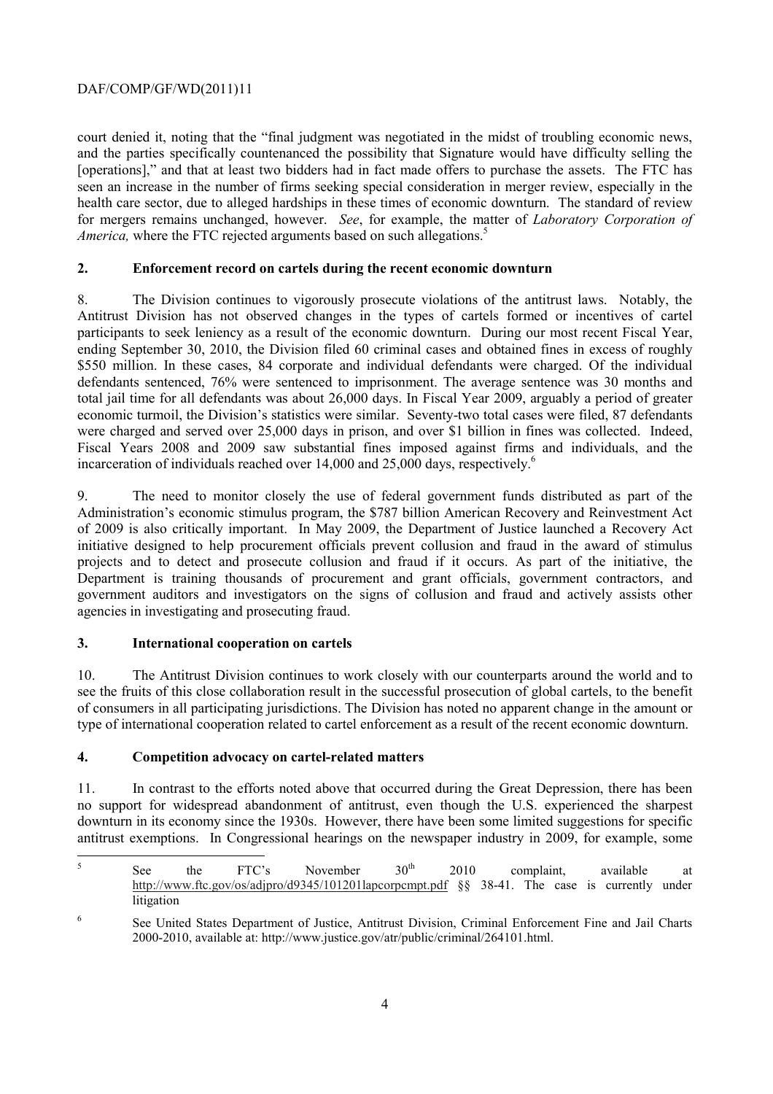# DAF/COMP/GF/WD(2011)11

court denied it, noting that the "final judgment was negotiated in the midst of troubling economic news, and the parties specifically countenanced the possibility that Signature would have difficulty selling the [operations]," and that at least two bidders had in fact made offers to purchase the assets. The FTC has seen an increase in the number of firms seeking special consideration in merger review, especially in the health care sector, due to alleged hardships in these times of economic downturn. The standard of review for mergers remains unchanged, however. *See*, for example, the matter of *Laboratory Corporation of America*, where the FTC rejected arguments based on such allegations.<sup>5</sup>

## **2. Enforcement record on cartels during the recent economic downturn**

8. The Division continues to vigorously prosecute violations of the antitrust laws. Notably, the Antitrust Division has not observed changes in the types of cartels formed or incentives of cartel participants to seek leniency as a result of the economic downturn. During our most recent Fiscal Year, ending September 30, 2010, the Division filed 60 criminal cases and obtained fines in excess of roughly \$550 million. In these cases, 84 corporate and individual defendants were charged. Of the individual defendants sentenced, 76% were sentenced to imprisonment. The average sentence was 30 months and total jail time for all defendants was about 26,000 days. In Fiscal Year 2009, arguably a period of greater economic turmoil, the Division's statistics were similar. Seventy-two total cases were filed, 87 defendants were charged and served over 25,000 days in prison, and over \$1 billion in fines was collected. Indeed, Fiscal Years 2008 and 2009 saw substantial fines imposed against firms and individuals, and the incarceration of individuals reached over 14,000 and 25,000 days, respectively.<sup>6</sup>

9. The need to monitor closely the use of federal government funds distributed as part of the Administration's economic stimulus program, the \$787 billion American Recovery and Reinvestment Act of 2009 is also critically important. In May 2009, the Department of Justice launched a Recovery Act initiative designed to help procurement officials prevent collusion and fraud in the award of stimulus projects and to detect and prosecute collusion and fraud if it occurs. As part of the initiative, the Department is training thousands of procurement and grant officials, government contractors, and government auditors and investigators on the signs of collusion and fraud and actively assists other agencies in investigating and prosecuting fraud.

## **3. International cooperation on cartels**

 $\overline{a}$ 

 type of international cooperation related to cartel enforcement as a result of the recent economic downturn. 10. The Antitrust Division continues to work closely with our counterparts around the world and to see the fruits of this close collaboration result in the successful prosecution of global cartels, to the benefit of consumers in all participating jurisdictions. The Division has noted no apparent change in the amount or

# **4. Competition advocacy on cartel-related matters**

11. In contrast to the efforts noted above that occurred during the Great Depression, there has been no support for widespread abandonment of antitrust, even though the U.S. experienced the sharpest downturn in its economy since the 1930s. However, there have been some limited suggestions for specific antitrust exemptions. In Congressional hearings on the newspaper industry in 2009, for example, some

http://www.ftc.gov/os/adjpro/d9345/101201lapcorpcmpt.pdf §§ 38-41. The case is currently under <sup>5</sup> See the FTC's November  $30<sup>th</sup>$  2010 complaint, available at litigation

<sup>6</sup> See United States Department of Justice, Antitrust Division, Criminal Enforcement Fine and Jail Charts 2000-2010, available at: http://www.justice.gov/atr/public/criminal/264101.html.